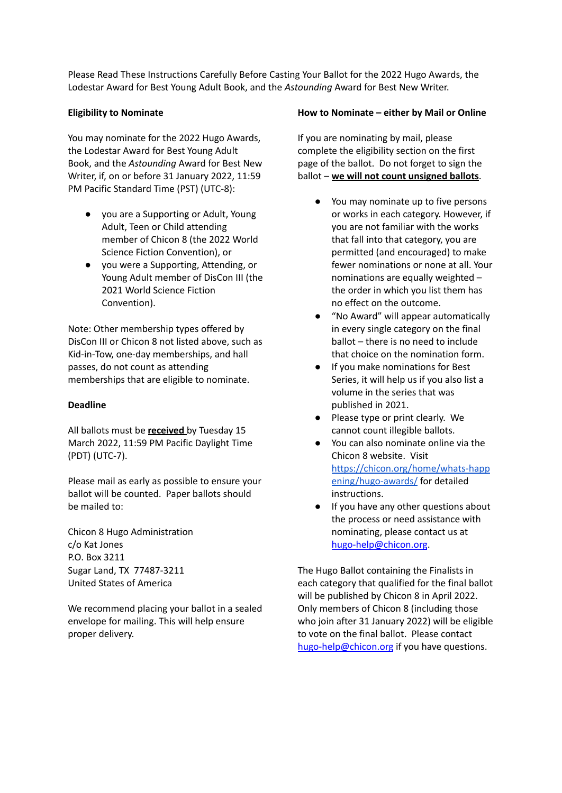Please Read These Instructions Carefully Before Casting Your Ballot for the 2022 Hugo Awards, the Lodestar Award for Best Young Adult Book, and the *Astounding* Award for Best New Writer.

## **Eligibility to Nominate**

You may nominate for the 2022 Hugo Awards, the Lodestar Award for Best Young Adult Book, and the *Astounding* Award for Best New Writer, if, on or before 31 January 2022, 11:59 PM Pacific Standard Time (PST) (UTC-8):

- you are a Supporting or Adult, Young Adult, Teen or Child attending member of Chicon 8 (the 2022 World Science Fiction Convention), or
- you were a Supporting, Attending, or Young Adult member of DisCon III (the 2021 World Science Fiction Convention).

Note: Other membership types offered by DisCon III or Chicon 8 not listed above, such as Kid-in-Tow, one-day memberships, and hall passes, do not count as attending memberships that are eligible to nominate.

# **Deadline**

All ballots must be **received** by Tuesday 15 March 2022, 11:59 PM Pacific Daylight Time (PDT) (UTC-7).

Please mail as early as possible to ensure your ballot will be counted. Paper ballots should be mailed to:

Chicon 8 Hugo Administration c/o Kat Jones P.O. Box 3211 Sugar Land, TX 77487-3211 United States of America

We recommend placing your ballot in a sealed envelope for mailing. This will help ensure proper delivery.

## **How to Nominate – either by Mail or Online**

If you are nominating by mail, please complete the eligibility section on the first page of the ballot. Do not forget to sign the ballot – **we will not count unsigned ballots**.

- You may nominate up to five persons or works in each category. However, if you are not familiar with the works that fall into that category, you are permitted (and encouraged) to make fewer nominations or none at all. Your nominations are equally weighted – the order in which you list them has no effect on the outcome.
- "No Award" will appear automatically in every single category on the final ballot – there is no need to include that choice on the nomination form.
- If you make nominations for Best Series, it will help us if you also list a volume in the series that was published in 2021.
- Please type or print clearly. We cannot count illegible ballots.
- You can also nominate online via the Chicon 8 website. Visit [https://chicon.org/home/whats-happ](https://chicon.org/home/whats-happening/hugo-awards/) [ening/hugo-awards/](https://chicon.org/home/whats-happening/hugo-awards/) for detailed instructions.
- If you have any other questions about the process or need assistance with nominating, please contact us at [hugo-help@chicon.org](mailto:hugo-help@chicon.org).

The Hugo Ballot containing the Finalists in each category that qualified for the final ballot will be published by Chicon 8 in April 2022. Only members of Chicon 8 (including those who join after 31 January 2022) will be eligible to vote on the final ballot. Please contact [hugo-help@chicon.org](mailto:hugo-help@chicon.org) if you have questions.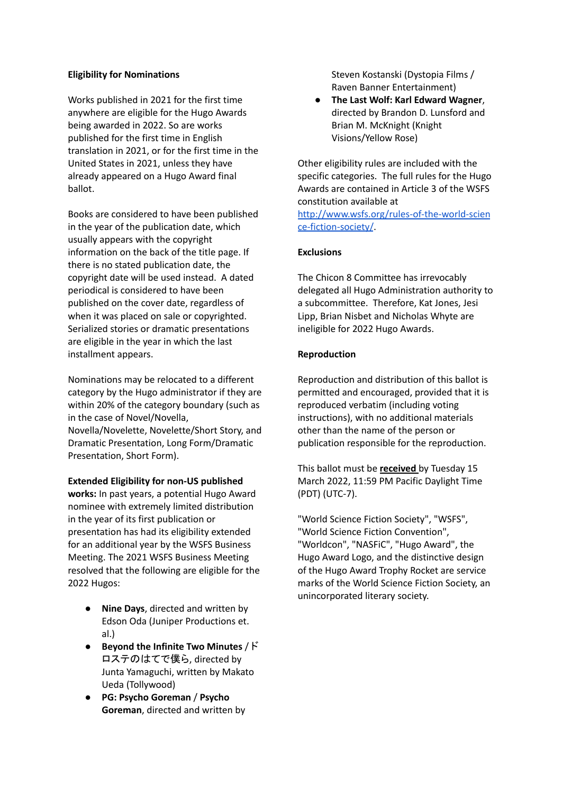### **Eligibility for Nominations**

Works published in 2021 for the first time anywhere are eligible for the Hugo Awards being awarded in 2022. So are works published for the first time in English translation in 2021, or for the first time in the United States in 2021, unless they have already appeared on a Hugo Award final ballot.

Books are considered to have been published in the year of the publication date, which usually appears with the copyright information on the back of the title page. If there is no stated publication date, the copyright date will be used instead. A dated periodical is considered to have been published on the cover date, regardless of when it was placed on sale or copyrighted. Serialized stories or dramatic presentations are eligible in the year in which the last installment appears.

Nominations may be relocated to a different category by the Hugo administrator if they are within 20% of the category boundary (such as in the case of Novel/Novella, Novella/Novelette, Novelette/Short Story, and Dramatic Presentation, Long Form/Dramatic Presentation, Short Form).

#### **Extended Eligibility for non-US published**

**works:** In past years, a potential Hugo Award nominee with extremely limited distribution in the year of its first publication or presentation has had its eligibility extended for an additional year by the WSFS Business Meeting. The 2021 WSFS Business Meeting resolved that the following are eligible for the 2022 Hugos:

- **Nine Days**, directed and written by Edson Oda (Juniper Productions et. al.)
- **Beyond the Infinite Two Minutes** / ド ロステのはてで僕ら, directed by Junta Yamaguchi, written by Makato Ueda (Tollywood)
- **PG: Psycho Goreman** / **Psycho Goreman**, directed and written by

Steven Kostanski (Dystopia Films / Raven Banner Entertainment)

● **The Last Wolf: Karl Edward Wagner**, directed by Brandon D. Lunsford and Brian M. McKnight (Knight Visions/Yellow Rose)

Other eligibility rules are included with the specific categories. The full rules for the Hugo Awards are contained in Article 3 of the WSFS constitution available at [http://www.wsfs.org/rules-of-the-world-scien](http://www.wsfs.org/rules-of-the-world-science-fiction-society/) [ce-fiction-society/](http://www.wsfs.org/rules-of-the-world-science-fiction-society/).

### **Exclusions**

The Chicon 8 Committee has irrevocably delegated all Hugo Administration authority to a subcommittee. Therefore, Kat Jones, Jesi Lipp, Brian Nisbet and Nicholas Whyte are ineligible for 2022 Hugo Awards.

### **Reproduction**

Reproduction and distribution of this ballot is permitted and encouraged, provided that it is reproduced verbatim (including voting instructions), with no additional materials other than the name of the person or publication responsible for the reproduction.

This ballot must be **received** by Tuesday 15 March 2022, 11:59 PM Pacific Daylight Time (PDT) (UTC-7).

"World Science Fiction Society", "WSFS", "World Science Fiction Convention", "Worldcon", "NASFiC", "Hugo Award", the Hugo Award Logo, and the distinctive design of the Hugo Award Trophy Rocket are service marks of the World Science Fiction Society, an unincorporated literary society.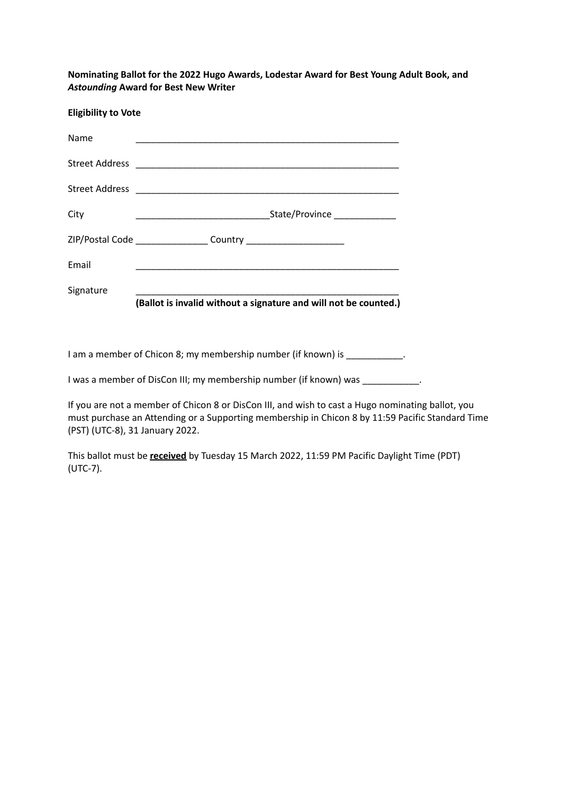**Nominating Ballot for the 2022 Hugo Awards, Lodestar Award for Best Young Adult Book, and** *Astounding* **Award for Best New Writer**

| <b>Eligibility to Vote</b> |                                                                                  |                                                                  |
|----------------------------|----------------------------------------------------------------------------------|------------------------------------------------------------------|
| Name                       |                                                                                  |                                                                  |
|                            |                                                                                  |                                                                  |
|                            |                                                                                  |                                                                  |
| City                       |                                                                                  | State/Province _____________                                     |
|                            | ZIP/Postal Code ____________________ Country ___________________________________ |                                                                  |
| Email                      |                                                                                  |                                                                  |
| Signature                  |                                                                                  |                                                                  |
|                            |                                                                                  | (Ballot is invalid without a signature and will not be counted.) |

I am a member of Chicon 8; my membership number (if known) is \_\_\_\_\_\_\_\_\_\_\_\_.

I was a member of DisCon III; my membership number (if known) was \_\_\_\_\_\_\_\_\_\_\_\_.

If you are not a member of Chicon 8 or DisCon III, and wish to cast a Hugo nominating ballot, you must purchase an Attending or a Supporting membership in Chicon 8 by 11:59 Pacific Standard Time (PST) (UTC-8), 31 January 2022.

This ballot must be **received** by Tuesday 15 March 2022, 11:59 PM Pacific Daylight Time (PDT) (UTC-7).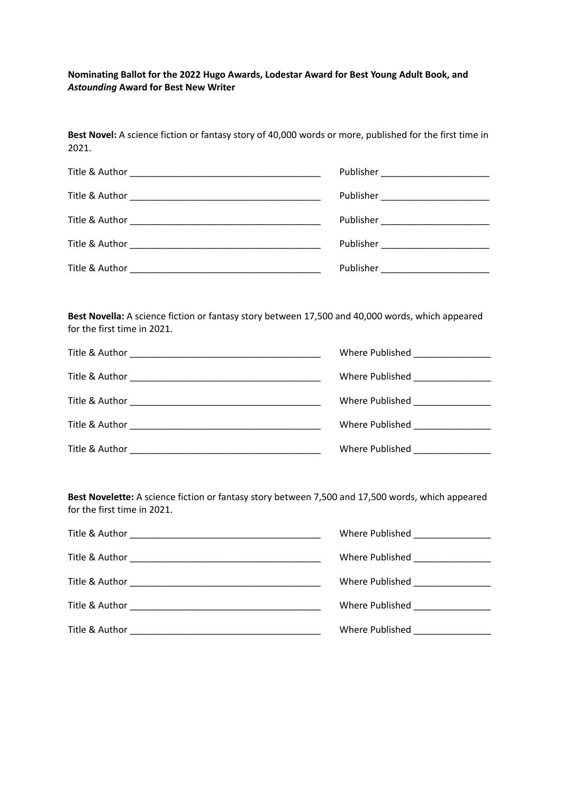**Nominating Ballot for the 2022 Hugo Awards, Lodestar Award for Best Young Adult Book, and** *Astounding* **Award for Best New Writer**

**Best Novel:** A science fiction or fantasy story of 40,000 words or more, published for the first time in

| 2021.                                                                                                                           |                                      |
|---------------------------------------------------------------------------------------------------------------------------------|--------------------------------------|
|                                                                                                                                 |                                      |
|                                                                                                                                 |                                      |
|                                                                                                                                 |                                      |
|                                                                                                                                 |                                      |
|                                                                                                                                 | Publisher __________________________ |
|                                                                                                                                 |                                      |
| Best Novella: A science fiction or fantasy story between 17,500 and 40,000 words, which appeared<br>for the first time in 2021. |                                      |
|                                                                                                                                 | Where Published ________________     |
|                                                                                                                                 | Where Published __________________   |
|                                                                                                                                 | Where Published ________________     |
|                                                                                                                                 | Where Published ________________     |
|                                                                                                                                 | Where Published ________________     |
|                                                                                                                                 |                                      |
|                                                                                                                                 |                                      |

**Best Novelette:** A science fiction or fantasy story between 7,500 and 17,500 words, which appeared for the first time in 2021.

| Title & Author<br><u> 1989 - Johann John Stone, markin film yn y brening yn y brening yn y brening y brening yn y brening yn y bre</u> | Where Published _________________      |
|----------------------------------------------------------------------------------------------------------------------------------------|----------------------------------------|
|                                                                                                                                        | Where Published _________________      |
|                                                                                                                                        | Where Published _______________        |
|                                                                                                                                        | Where Published _______________        |
|                                                                                                                                        | Where Published <b>Where Published</b> |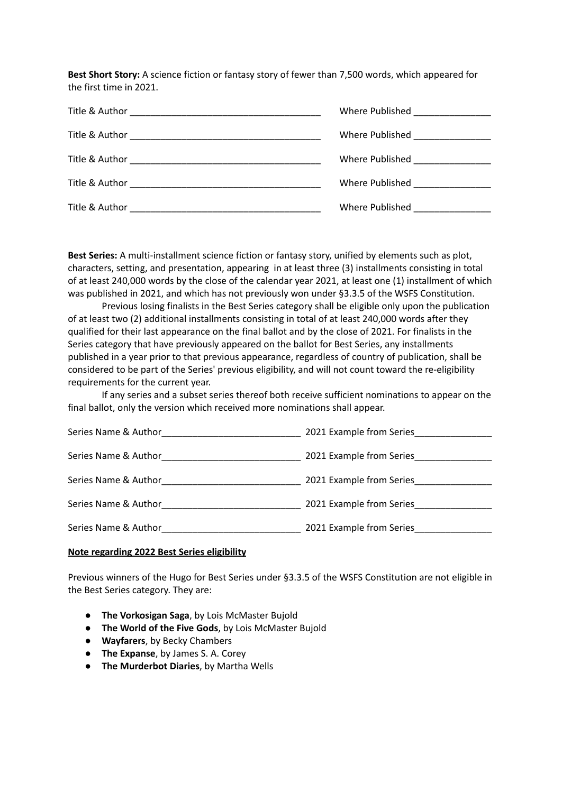**Best Short Story:** A science fiction or fantasy story of fewer than 7,500 words, which appeared for the first time in 2021.

| Title & Author | Where Published _________________       |
|----------------|-----------------------------------------|
|                | Where Published ______________          |
|                | Where Published ________________        |
|                | Where Published North States and States |
| Title & Author | Where Published Manuscript              |

**Best Series:** A multi-installment science fiction or fantasy story, unified by elements such as plot, characters, setting, and presentation, appearing in at least three (3) installments consisting in total of at least 240,000 words by the close of the calendar year 2021, at least one (1) installment of which was published in 2021, and which has not previously won under §3.3.5 of the WSFS Constitution.

Previous losing finalists in the Best Series category shall be eligible only upon the publication of at least two (2) additional installments consisting in total of at least 240,000 words after they qualified for their last appearance on the final ballot and by the close of 2021. For finalists in the Series category that have previously appeared on the ballot for Best Series, any installments published in a year prior to that previous appearance, regardless of country of publication, shall be considered to be part of the Series' previous eligibility, and will not count toward the re-eligibility requirements for the current year.

If any series and a subset series thereof both receive sufficient nominations to appear on the final ballot, only the version which received more nominations shall appear.

| Series Name & Author | 2021 Example from Series |
|----------------------|--------------------------|
| Series Name & Author | 2021 Example from Series |
| Series Name & Author | 2021 Example from Series |
| Series Name & Author | 2021 Example from Series |
| Series Name & Author | 2021 Example from Series |

#### **Note regarding 2022 Best Series eligibility**

Previous winners of the Hugo for Best Series under §3.3.5 of the WSFS Constitution are not eligible in the Best Series category. They are:

- **● The Vorkosigan Saga**, by Lois McMaster Bujold
- **● The World of the Five Gods**, by Lois McMaster Bujold
- **● Wayfarers**, by Becky Chambers
- **The Expanse**, by James S. A. Corey
- **The Murderbot Diaries**, by Martha Wells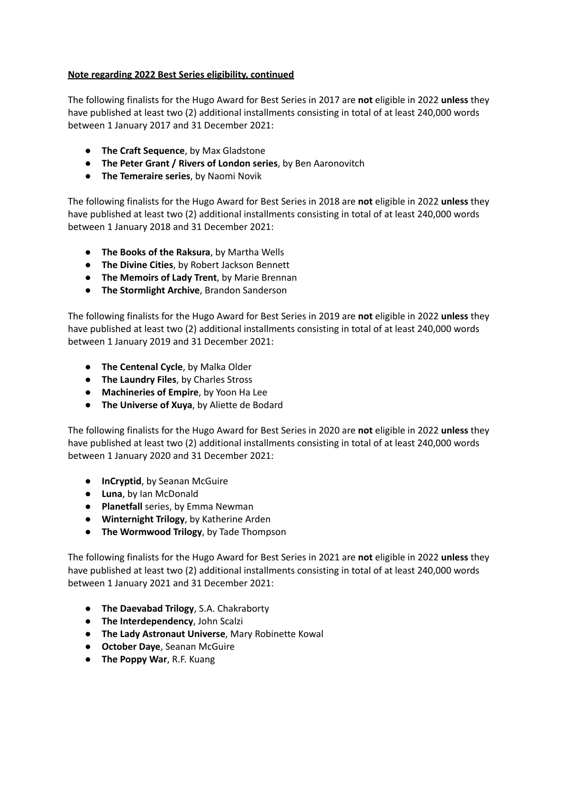## **Note regarding 2022 Best Series eligibility, continued**

The following finalists for the Hugo Award for Best Series in 2017 are **not** eligible in 2022 **unless** they have published at least two (2) additional installments consisting in total of at least 240,000 words between 1 January 2017 and 31 December 2021:

- **The Craft Sequence**, by Max Gladstone
- **The Peter Grant / Rivers of London series**, by Ben Aaronovitch
- **The Temeraire series**, by Naomi Novik

The following finalists for the Hugo Award for Best Series in 2018 are **not** eligible in 2022 **unless** they have published at least two (2) additional installments consisting in total of at least 240,000 words between 1 January 2018 and 31 December 2021:

- **The Books of the Raksura**, by Martha Wells
- **The Divine Cities**, by Robert Jackson Bennett
- **The Memoirs of Lady Trent**, by Marie Brennan
- **The Stormlight Archive**, Brandon Sanderson

The following finalists for the Hugo Award for Best Series in 2019 are **not** eligible in 2022 **unless** they have published at least two (2) additional installments consisting in total of at least 240,000 words between 1 January 2019 and 31 December 2021:

- **The Centenal Cycle**, by Malka Older
- **● The Laundry Files**, by Charles Stross
- **● Machineries of Empire**, by Yoon Ha Lee
- **The Universe of Xuya**, by Aliette de Bodard

The following finalists for the Hugo Award for Best Series in 2020 are **not** eligible in 2022 **unless** they have published at least two (2) additional installments consisting in total of at least 240,000 words between 1 January 2020 and 31 December 2021:

- **InCryptid**, by Seanan McGuire
- **Luna**, by Ian McDonald
- **Planetfall** series, by Emma Newman
- **Winternight Trilogy**, by Katherine Arden
- **The Wormwood Trilogy**, by Tade Thompson

The following finalists for the Hugo Award for Best Series in 2021 are **not** eligible in 2022 **unless** they have published at least two (2) additional installments consisting in total of at least 240,000 words between 1 January 2021 and 31 December 2021:

- **The Daevabad Trilogy**, S.A. Chakraborty
- **The Interdependency**, John Scalzi
- **The Lady Astronaut Universe**, Mary Robinette Kowal
- **October Daye**, Seanan McGuire
- **● The Poppy War**, R.F. Kuang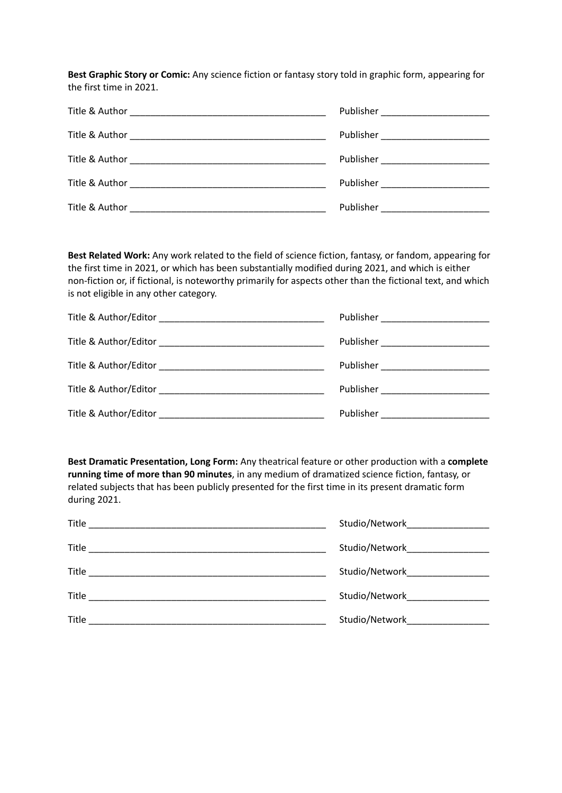**Best Graphic Story or Comic:** Any science fiction or fantasy story told in graphic form, appearing for the first time in 2021.

| Publisher ___________________________ |
|---------------------------------------|
| Publisher _________________________   |
|                                       |
| Publisher __________________________  |
|                                       |

**Best Related Work:** Any work related to the field of science fiction, fantasy, or fandom, appearing for the first time in 2021, or which has been substantially modified during 2021, and which is either non-fiction or, if fictional, is noteworthy primarily for aspects other than the fictional text, and which is not eligible in any other category.

| Publisher ___________________________ |
|---------------------------------------|
| Publisher ___________________________ |
| Publisher ___________________________ |
| Publisher _________________________   |
| Publisher ________________________    |

**Best Dramatic Presentation, Long Form:** Any theatrical feature or other production with a **complete running time of more than 90 minutes**, in any medium of dramatized science fiction, fantasy, or related subjects that has been publicly presented for the first time in its present dramatic form during 2021.

| Title<br>the control of the control of the control of the control of the control of the control of                                                                                                                                            | Studio/Network and the studio/Network |
|-----------------------------------------------------------------------------------------------------------------------------------------------------------------------------------------------------------------------------------------------|---------------------------------------|
| <b>Title</b><br>the control of the control of the control of the control of the control of the control of the control of the control of the control of the control of the control of the control of the control of the control of the control | Studio/NetworkNetwork                 |
| <b>Title</b>                                                                                                                                                                                                                                  | Studio/Network and the studio/Network |
| Title                                                                                                                                                                                                                                         | Studio/Network                        |
| Title                                                                                                                                                                                                                                         | Studio/Network                        |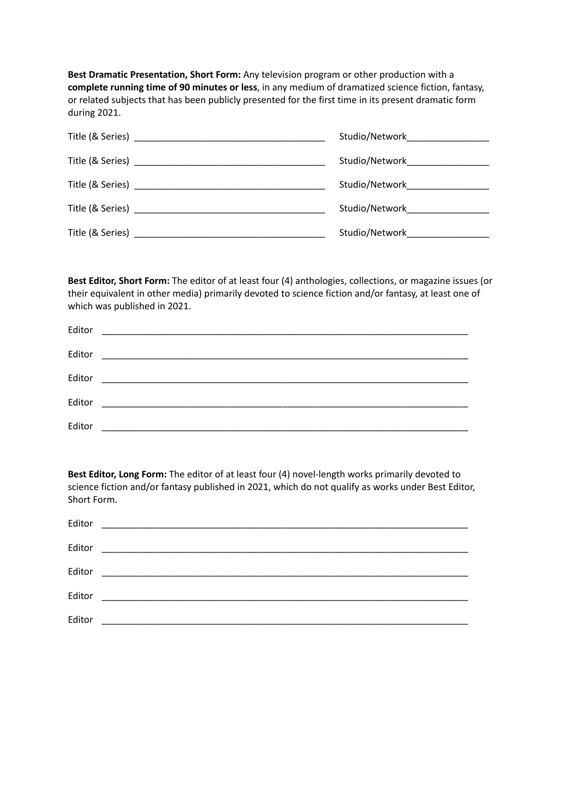**Best Dramatic Presentation, Short Form:** Any television program or other production with a **complete running time of 90 minutes or less**, in any medium of dramatized science fiction, fantasy, or related subjects that has been publicly presented for the first time in its present dramatic form during 2021.

|                                                                                                                                                                                                                                | Studio/Network button and the studio |
|--------------------------------------------------------------------------------------------------------------------------------------------------------------------------------------------------------------------------------|--------------------------------------|
|                                                                                                                                                                                                                                | Studio/Network   ___________         |
|                                                                                                                                                                                                                                | Studio/NetworkNetwork                |
|                                                                                                                                                                                                                                | Studio/NetworkNetwork                |
| Title (& Series) and the series of the series of the series of the series of the series of the series of the series of the series of the series of the series of the series of the series of the series of the series of the s | Studio/Network                       |

**Best Editor, Short Form:** The editor of at least four (4) anthologies, collections, or magazine issues (or their equivalent in other media) primarily devoted to science fiction and/or fantasy, at least one of which was published in 2021.

| Editor |  |
|--------|--|
| Editor |  |
| Editor |  |
| Editor |  |
| Editor |  |

**Best Editor, Long Form:** The editor of at least four (4) novel-length works primarily devoted to science fiction and/or fantasy published in 2021, which do not qualify as works under Best Editor, Short Form.

| Editor |  |
|--------|--|
| Editor |  |
| Editor |  |
| Editor |  |
| Editor |  |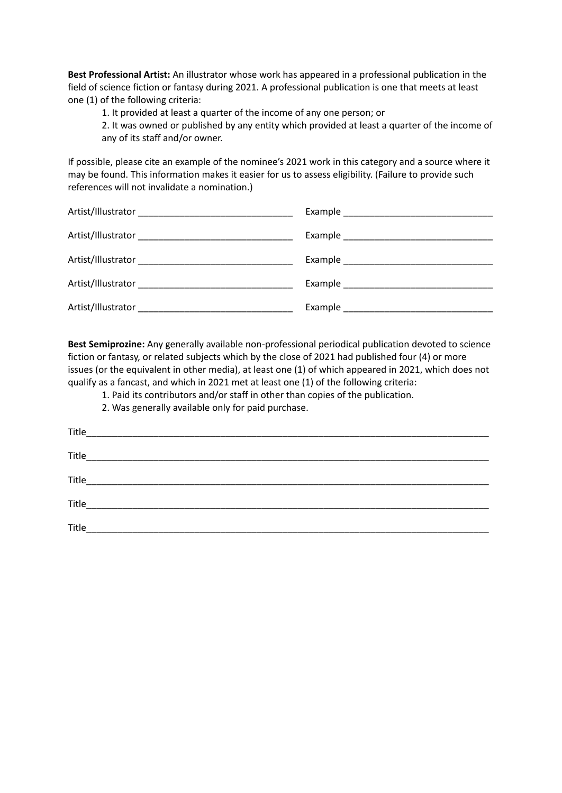**Best Professional Artist:** An illustrator whose work has appeared in a professional publication in the field of science fiction or fantasy during 2021. A professional publication is one that meets at least one (1) of the following criteria:

1. It provided at least a quarter of the income of any one person; or

2. It was owned or published by any entity which provided at least a quarter of the income of any of its staff and/or owner.

If possible, please cite an example of the nominee's 2021 work in this category and a source where it may be found. This information makes it easier for us to assess eligibility. (Failure to provide such references will not invalidate a nomination.)

**Best Semiprozine:** Any generally available non-professional periodical publication devoted to science fiction or fantasy, or related subjects which by the close of 2021 had published four (4) or more issues (or the equivalent in other media), at least one (1) of which appeared in 2021, which does not qualify as a fancast, and which in 2021 met at least one (1) of the following criteria:

1. Paid its contributors and/or staff in other than copies of the publication.

2. Was generally available only for paid purchase.

| Title |  |
|-------|--|
|       |  |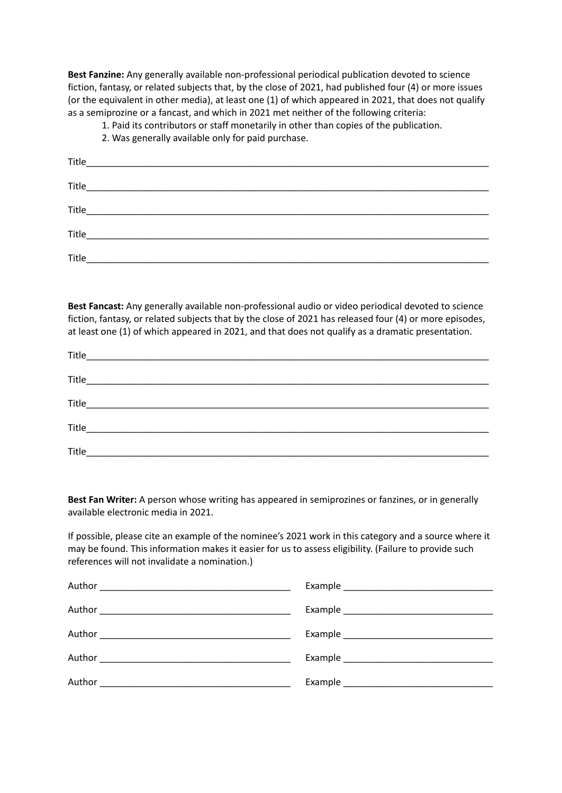**Best Fanzine:** Any generally available non-professional periodical publication devoted to science fiction, fantasy, or related subjects that, by the close of 2021, had published four (4) or more issues (or the equivalent in other media), at least one (1) of which appeared in 2021, that does not qualify as a semiprozine or a fancast, and which in 2021 met neither of the following criteria:

1. Paid its contributors or staff monetarily in other than copies of the publication.

2. Was generally available only for paid purchase.

| Title |  |
|-------|--|

**Best Fancast:** Any generally available non-professional audio or video periodical devoted to science fiction, fantasy, or related subjects that by the close of 2021 has released four (4) or more episodes, at least one (1) of which appeared in 2021, and that does not qualify as a dramatic presentation.

| Title |  |
|-------|--|
|       |  |
|       |  |
|       |  |
| Title |  |

**Best Fan Writer:** A person whose writing has appeared in semiprozines or fanzines, or in generally available electronic media in 2021.

If possible, please cite an example of the nominee's 2021 work in this category and a source where it may be found. This information makes it easier for us to assess eligibility. (Failure to provide such references will not invalidate a nomination.)